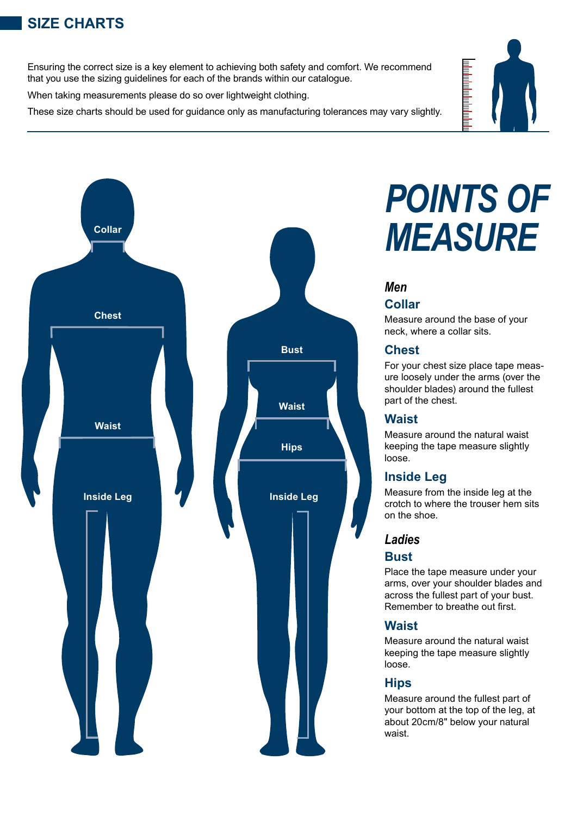## **SIZE CHARTS**

Ensuring the correct size is a key element to achieving both safety and comfort. We recommend that you use the sizing guidelines for each of the brands within our catalogue.

When taking measurements please do so over lightweight clothing.

These size charts should be used for guidance only as manufacturing tolerances may vary slightly.



# *POINTS OF MEASURE*

## *Men* **Collar**

Measure around the base of your neck, where a collar sits.

## **Chest**

For your chest size place tape measure loosely under the arms (over the shoulder blades) around the fullest part of the chest.

## **Waist**

Measure around the natural waist keeping the tape measure slightly loose.

## **Inside Leg**

Measure from the inside leg at the crotch to where the trouser hem sits on the shoe.

## *Ladies*

## **Bust**

Place the tape measure under your arms, over your shoulder blades and across the fullest part of your bust. Remember to breathe out first.

## **Waist**

Measure around the natural waist keeping the tape measure slightly loose.

## **Hips**

Measure around the fullest part of your bottom at the top of the leg, at about 20cm/8" below your natural waist.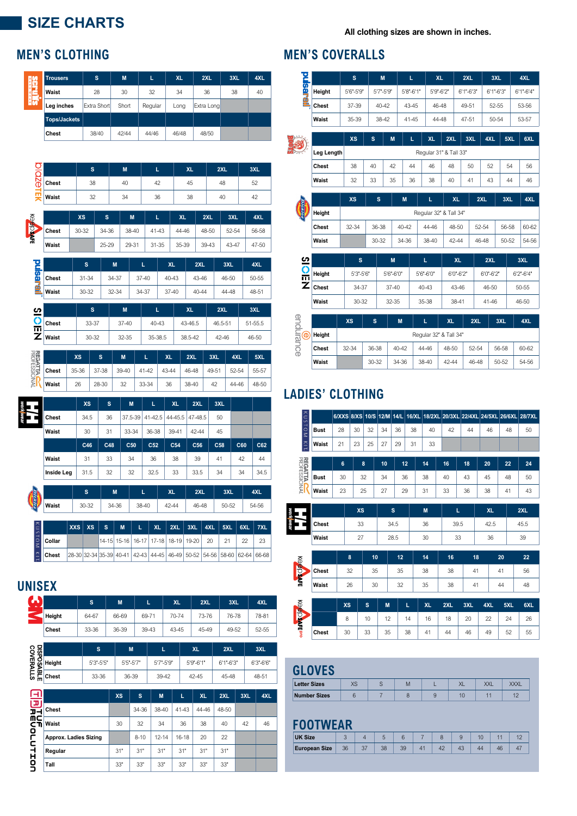## **SIZE CHARTS**

### **All clothing sizes are shown in inches.**

| 鹃  | <b>Trousers</b>     | s           | M     | L       | <b>XL</b> | 2XL        | 3XL | 4XL |
|----|---------------------|-------------|-------|---------|-----------|------------|-----|-----|
| m  | Waist               | 28          | 30    | 32      | 34        | 36         | 38  | 40  |
| Γh | Leg inches          | Extra Short | Short | Regular | Long      | Extra Long |     |     |
|    | <b>Tops/Jackets</b> |             |       |         |           |            |     |     |
|    | Chest               | 38/40       | 42/44 | 44/46   | 46/48     | 48/50      |     |     |





|        |  | $ X\lambda S $ $S$ $ S $ $N$ $ L $ $\lambda L$ $ Z\lambda L $ $3\lambda L$ $ 4\lambda L $ $3\lambda L$ $ 6\lambda L $ $1\lambda L$ |  |                                                                         |  |    |    |
|--------|--|------------------------------------------------------------------------------------------------------------------------------------|--|-------------------------------------------------------------------------|--|----|----|
| Collar |  |                                                                                                                                    |  | 14-15  15-16   16-17   17-18   18-19   19-20   20   21                  |  | 22 | 23 |
| Chest  |  |                                                                                                                                    |  | 28-30 32-34 35-39 40-41 42-43 44-45 46-49 50-52 54-56 58-60 62-64 66-68 |  |    |    |

## **UNISEX**

| Ъ<br>÷ |        | s     | M     | L     | XL    | 2XL       | 3XL   | 4XL   |
|--------|--------|-------|-------|-------|-------|-----------|-------|-------|
|        | Height | 64-67 | 66-69 | 69-71 | 70-74 | 73-76     | 76-78 | 78-81 |
|        | Chest  | 33-36 | 36-39 | 39-43 | 43-45 | 45-49     | 49-52 | 52-55 |
|        |        |       |       |       |       |           |       |       |
| 유믦     |        | s     | M     |       |       | <b>XL</b> | 2XL   | 3XL   |

| ខ្ញុំ ខ្ញុ |        | 'S              | M         |           | <b>XL</b> | 2XL           | 3XL       |
|------------|--------|-----------------|-----------|-----------|-----------|---------------|-----------|
| 똃          | Height | $5'3'' - 5'5''$ | 5'5"-5'7" | 5'7"-5'9" | 5'9"-6'1" | $6'1" - 6'3"$ | 6'3"-6'6" |
| ᡂ          | 인 비안   | 33-36           | 36-39     | 39-42     | 42-45     | 45-48         | 48-51     |
|            |        |                 |           |           |           |               |           |

| IJ          |                       | <b>XS</b> | 'S       | M         | L         | XL    | 2XL   | 3XL | 4XL |
|-------------|-----------------------|-----------|----------|-----------|-----------|-------|-------|-----|-----|
| D-          | Chest                 |           | 34-36    | 38-40     | 41-43     | 44-46 | 48-50 |     |     |
| nς<br>сπ    | Waist                 | 30        | 32       | 34        | 36        | 38    | 40    | 42  | 46  |
| ⋍<br>-      | Approx. Ladies Sizing |           | $8 - 10$ | $12 - 14$ | $16 - 18$ | 20    | 22    |     |     |
| -<br>┪<br>┪ | Regular               | 31"       | 31"      | 31"       | 31"       | 31"   | 31"   |     |     |
|             | Tall                  | 33"       | 33"      | 33"       | 33"       | 33"   | 33"   |     |     |

## **MEN'S CLOTHING MEN'S COVERALLS**

**Contract** 

|                 |            | s            |       | M            |                        | L.            | XL                     |           |           | 2XL           |           | 3XL           |       | 4XL           |
|-----------------|------------|--------------|-------|--------------|------------------------|---------------|------------------------|-----------|-----------|---------------|-----------|---------------|-------|---------------|
| pulsarai        | Height     | 5'6"-5'9"    |       | 5'7"-5'9"    |                        | $5'8" - 6'1"$ | 5'9"-6'2"              |           |           | $6'1" - 6'3"$ |           | $6'1" - 6'3"$ |       | $6'1" - 6'4"$ |
|                 | Chest      | 37-39        |       | 40-42        |                        | 43-45         | 46-48                  |           |           | 49-51         |           | 52-55         |       | 53-56         |
|                 | Waist      | 35-39        |       | 38-42        |                        | $41 - 45$     | 44-48                  |           |           | 47-51         |           | 50-54         |       | 53-57         |
|                 |            | <b>XS</b>    | s     |              | M                      | L.            | <b>XL</b>              | 2XL       |           | 3XL           | 4XL       |               | 5XL   | 6XL           |
|                 | Leg Length |              |       |              |                        |               | Regular 31" & Tall 33" |           |           |               |           |               |       |               |
|                 | Chest      | 38           | 40    |              | 42                     | 44            | 46                     | 48        |           | 50            | 52        |               | 54    | 56            |
|                 | Waist      | 32           | 33    |              | 35                     | 36            | 38                     | 40        |           | 41            | 43        |               | 44    | 46            |
|                 |            | <b>XS</b>    |       | $\mathbf{s}$ | M                      |               | L                      |           | XL        |               | 2XL       |               | 3XL   | 4XL           |
|                 | Height     |              |       |              | Regular 32" & Tall 34" |               |                        |           |           |               |           |               |       |               |
|                 | Chest      | 32-34        |       | 36-38        | 40-42                  |               | 44-46                  |           | 48-50     |               | 52-54     |               | 56-58 | 60-62         |
|                 | Waist      |              |       | $30 - 32$    | 34-36                  |               | 38-40                  |           | 42-44     |               | 46-48     |               | 50-52 | 54-56         |
|                 |            | $\mathbf{s}$ |       |              | M                      |               | г                      |           | <b>XL</b> |               | 2XL       |               |       | 3XL           |
| $rac{3}{2}$     | Height     | 5'3"-5'6"    |       |              | 5'6"-6'0"              |               | 5'6"-6'0"              |           | 6'0"-6'2" |               | 6'0"-6'2" |               |       | 6'2"-6'4"     |
| Ź               | Chest      | 34-37        |       |              | $37 - 40$              |               | 40-43                  |           | 43-46     |               | 46-50     |               |       | 50-55         |
|                 | Waist      | 30-32        |       |              | 32-35                  |               | 35-38                  |           | 38-41     |               | $41 - 46$ |               |       | 46-50         |
|                 |            | <b>XS</b>    | s     |              | M                      |               | L.                     | <b>XL</b> |           | 2XL           |           | 3XL           |       | 4XL           |
| endurance<br>O) | Height     |              |       |              |                        |               | Regular 32" & Tall 34" |           |           |               |           |               |       |               |
|                 | Chest      | $32 - 34$    | 36-38 |              | $40 - 42$              |               | 44-46                  | 48-50     |           | 52-54         |           | 56-58         |       | 60-62         |

**Waist** | 30-32 | 34-36 | 38-40 | 42-44 | 46-48 | 50-52 | 54-56

## **LADIES' CLOTHING**

| ᄎ                           |             | 6/XXS          | <b>8/XS</b> |    | 10/S 12/M 14/L |      | 16/XL |           |      |     | 18/2XL 20/3XL 22/4XL 24/5XL 26/6XL |     | <b>28/7XL</b> |
|-----------------------------|-------------|----------------|-------------|----|----------------|------|-------|-----------|------|-----|------------------------------------|-----|---------------|
| <b>USTOM</b>                | <b>Bust</b> | 28             | 30          | 32 | 34             | 36   | 38    | 40        | 42   | 44  | 46                                 | 48  | 50            |
| Ã                           | Waist       | 21             | 23          | 25 | 27             | 29   | 31    | 33        |      |     |                                    |     |               |
| <b>REGATTA CONSESSIONAL</b> |             | $6\phantom{1}$ | 8           |    | 10             |      | 12    | 14        | 16   | 18  | 20                                 | 22  | 24            |
|                             | <b>Bust</b> | 30             | 32          |    | 34             | 36   |       | 38        | 40   | 43  | 45                                 | 48  | 50            |
|                             | Waist       | 23             | 25          |    | 27             | 29   |       | 31        | 33   | 36  | 38                                 | 41  | 43            |
|                             |             |                | <b>XS</b>   |    |                | s    |       | M         | L    |     | XL                                 |     | 2XL           |
| work weal                   | Chest       |                | 33          |    |                | 34.5 |       | 36        | 39.5 |     | 42.5                               |     | 45.5          |
|                             | Waist       |                | 27          |    |                | 28.5 |       | 30        | 33   |     | 36                                 |     | 39            |
|                             |             |                | 8           | 10 |                | 12   |       | 14        | 16   | 18  |                                    | 20  | 22            |
| Keepsafe                    | Chest       |                | 32          | 35 |                | 35   |       | 38        | 38   | 41  |                                    | 41  | 56            |
|                             | Waist       |                | 26          | 30 |                | 32   |       | 35        | 38   | 41  |                                    | 44  | 48            |
|                             |             | <b>XS</b>      |             | s  | M              |      | L     | <b>XL</b> | 2XL  | 3XL | 4XL                                | 5XL | 6XL           |
| <b>KOODVEDIO</b>            |             | 8              |             | 10 | 12             |      | 14    | 16        | 18   | 20  | 22                                 | 24  | 26            |
|                             | Chest       | 30             |             | 33 | 35             |      | 38    | 41        | 44   | 46  | 49                                 | 52  | 55            |

## **GLOVES**

| <b>Letter Sizes</b> | ∿ט | ΙM | ୵៶∟ | <b>VAL</b> |
|---------------------|----|----|-----|------------|
| <b>Number Sizes</b> |    |    |     | . .        |

## **FOOTWEAR**

| <b>UK Size</b>       |    |    |    |  |  |  |
|----------------------|----|----|----|--|--|--|
| <b>European Size</b> | 36 | 38 | 39 |  |  |  |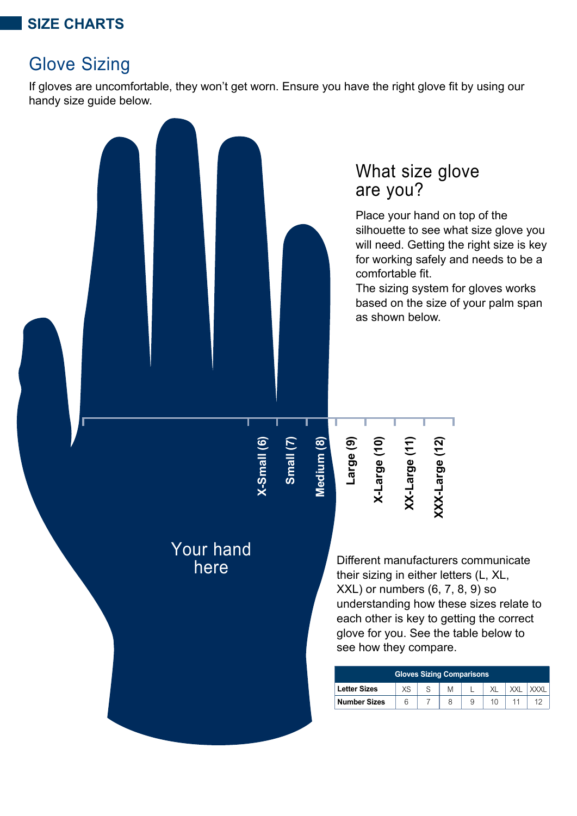## **SIZE CHARTS**

## Glove Sizing

If gloves are uncomfortable, they won't get worn. Ensure you have the right glove fit by using our handy size guide below.